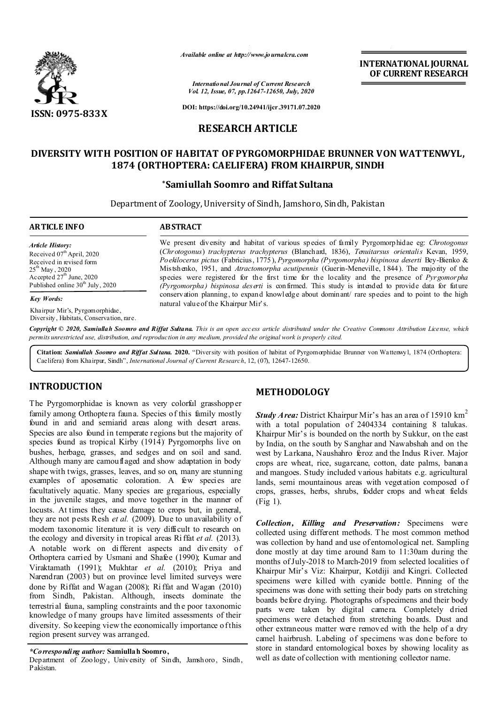

*Available online at http://www.journalcra.com*

*International Journal of Current Research Vol. 12, Issue, 07, pp.12647-12650, July, 2020* **INTERNATIONAL JOURNAL OF CURRENT RESEARCH**

**DOI: https://doi.org/10.24941/ijcr.39171.07.2020**

## **RESEARCH ARTICLE**

# **DIVERSITY WITH POSITION OF HABITAT OF PYRGOMORPHIDAE BRUNNER VON WATTENWYL, 1874 (ORTHOPTERA: CAELIFERA) FROM KHAIRPUR, SINDH**

## **\*Samiullah Soomro and Riffat Sultana**

Department of Zoology, University of Sindh, Jamshoro, Sindh, Pakistan

#### **ARTICLE INFO ABSTRACT** We present diversity and habitat of various species of family Pyrgomorphidae eg: *Chrotogonus*  (*Chrotogonus*) *trachypterus trachypterus* (Blanchard, 1836), *Tenuitarsus orientalis* Kevan, 1959, *Poekilocerus pictus* (Fabricius, 1775), *Pyrgomorpha (Pyrgomorpha) bispinosa deserti* Bey-Bienko & Mistshenko, 1951, and *Atractomorpha acutipennis* (Guerin-Meneville, 1844). The majority of the species were registered for the first time for the locality and the presence of *Pyrgomorpha (Pyrgomorpha) bispinosa deserti* is confirmed. This study is intended to provide data for future conservation planning, to expand knowledge about dominant/ rare species and to point to the high natural value of the Khairpur Mir's. *Article History: Article History:* Received 07<sup>th</sup> April, 2020 Received in revised form Received in revised form  $25^{\rm th}$  May , 2020 Accepted  $27<sup>th</sup>$  June, 2020 Published online 30<sup>th</sup> July, 2020 *Key Words:* Khairpur Mir's, Pyrgomorphidae,

Diversity, Habitats, Conservation, rare.

Copyright © 2020, Samiullah Soomro and Riffat Sultana. This is an open access article distributed under the Creative Commons Attribution License, which permits unrestricted use, distribution, and reproduction in any medium, provided the original work is properly cited.

**Citation:** *Samiullah Soomro and Riffat Sultana.* **2020.** "Diversity with position of habitat of Pyrgomorphidae Brunner von Wattenwyl, 1874 (Orthoptera: Caelifera) from Khairpur, Sindh", *International Journal of Current Research*, 12, (07), 12647-12650.

# **INTRODUCTION**

The Pyrgomorphidae is known as very colorful grasshopper family among Orthoptera fauna. Species of this family mostly found in arid and semiarid areas along with desert areas. Species are also found in temperate regions but the majority of species found as tropical Kirby (1914) Pyrgomorphs live on bushes, herbage, grasses, and sedges and on soil and sand. Although many are camouflaged and show adaptation in body shape with twigs, grasses, leaves, and so on, many are stunning examples of aposematic coloration. A few species are facultatively aquatic. Many species are gregarious, especially in the juvenile stages, and move together in the manner of locusts. At times they cause damage to crops but, in general, they are not pests Resh *et al.* (2009). Due to unavailability of modern taxonomic literature it is very difficult to research on the ecology and diversity in tropical areas Ri ffat *et al.* (2013). A notable work on different aspects and diversity of Orthoptera carried by Usmani and Shafee (1990); Kumar and Viraktamath (1991); Mukhtar *et al.* (2010); Priya and Narendran (2003) but on province level limited surveys were done by Riffat and Wagan (2008); Ri ffat and Wagan (2010) from Sindh, Pakistan. Although, insects dominate the terrestrial fauna, sampling constraints and th e poor taxonomic knowledge of many groups have limited assessments of their diversity. So keeping view the economically importance of this region present survey was arranged.

Department of Zoology, University of Sindh, Jamshoro, Sindh, Pakistan.

# **METHODOLOGY**

*Study Area:* District Khairpur Mir's has an area of 15910 km<sup>2</sup> with a total population of 2404334 containing 8 talukas. Khairpur Mir's is bounded on the north by Sukkur, on the east by India, on the south by Sanghar and Nawabshah and on the west by Larkana, Naushahro feroz and the Indus River. Major crops are wheat, rice, sugarcane, cotton, date palms, banana and mangoes. Study included various habitats e.g. agricultural lands, semi mountainous areas with vegetation composed of crops, grasses, herbs, shrubs, fodder crops and wheat fields (Fig 1).

*Collection, Killing and Preservation:* Specimens were collected using different methods. T he most common method was collection by hand and use of entomological net. Sampling done mostly at day time around 8am to 11:30am during the months of July-2018 to March-2019 from selected localities of Khairpur Mir's Viz: Khairpur, Kotdiji and Kingri. Collected specimens were killed with cyanide bottle. Pinning of the specimens was done with setting their body parts on stretching boards before drying. Photographs of specimens and their body parts were taken by digital camera. Completely dried specimens were detached from stretching boards. Dust and other extraneous matter were removed with the help of a dry camel hairbrush. Labeling of specimens was done before to store in standard entomological boxes by showing locality as well as date of collection with mentioning collector name.

*<sup>\*</sup>Corresponding author:* **Samiullah Soomro,**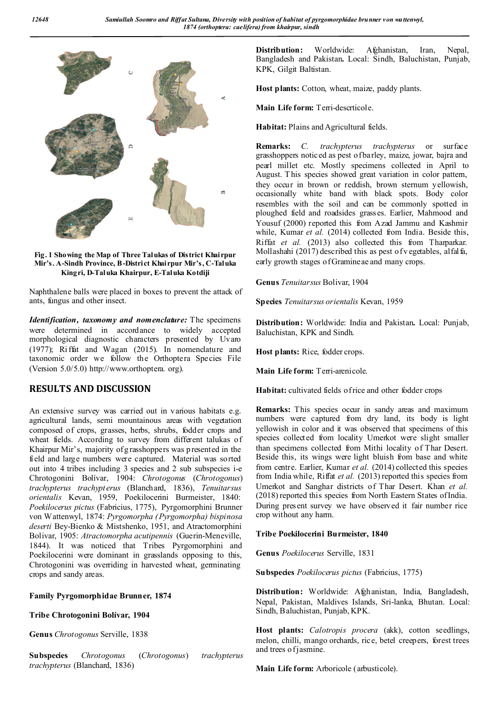

**Fig. 1 Showing the Map of Three Talukas of District Khairpur Mir's. A-Sindh Province, B-District Khairpur Mir's, C-Taluka Kingri, D-Taluka Khairpur, E-Taluka Kotdiji**

Naphthalene balls were placed in boxes to prevent the attack of ants, fungus and other insect.

*Identification, taxonomy and nomenclature:* The specimens were determined in accordance to widely accepted morphological diagnostic characters presented by Uvaro (1977); Ri ffat and Wagan (2015). In nomenclature and taxonomic order we follow the Orthoptera Species File (Version 5.0/5.0) http://www.orthoptera. org).

## **RESULTS AND DISCUSSION**

An extensive survey was carried out in various habitats e.g. agricultural lands, semi mountainous areas with vegetation composed of crops, grasses, herbs, shrubs, fodder crops and wheat fields. According to survey from different talukas of Khairpur Mir's, majority of g rasshoppers was presented in the field and large numbers were captured. Material was sorted out into 4 tribes including 3 species and 2 sub subspecies i-e Chrotogonini Bolívar, 1904: *Chrotogonus* (*Chrotogonus*) *trachypterus trachypterus* (Blanchard, 1836), *Tenuitarsus orientalis* Kevan, 1959, Poekilocerini Burmeister, 1840: *Poekilocerus pictus* (Fabricius, 1775), Pyrgomorphini Brunner von Wattenwyl, 1874: *Pyrgomorpha (Pyrgomorpha) bispinosa deserti* Bey-Bienko & Mistshenko, 1951, and Atractomorphini Bolivar, 1905: *Atractomorpha acutipennis* (Guerin-Meneville, 1844). It was noticed that Tribes Pyrgomorphini and Poekilocerini were dominant in grasslands opposing to this, Chrotogonini was overriding in harvested wheat, germinating crops and sandy areas.

## **Family Pyrgomorphidae Brunner, 1874**

## **Tribe Chrotogonini Bolívar, 1904**

**Genus** *Chrotogonus* Serville, 1838

**Subspecies** *Chrotogonus* (*Chrotogonus*) *trachypterus trachypterus* (Blanchard, 1836)

**Distribution:** Worldwide: Afghanistan, Iran, Nepal, Bangladesh and Pakistan**.** Local: Sindh, Baluchistan, Punjab, KPK, Gilgit Baltistan.

**Host plants:** Cotton, wheat, maize, paddy plants.

Main Life form: Terri-descrticole.

**Habitat:** Plains and Agricultural fields.

**Remarks:** *C. trachypterus trachypterus* or surface grasshoppers noticed as pest of barley, maize, jowar, bajra and pearl millet etc. Mostly specimens collected in April to August. This species showed great variation in color pattem, they occur in brown or reddish, brown sternum yellowish, occasionally white band with black spots. Body color resembles with the soil and can be commonly spotted in ploughed field and roadsides grasses. Earlier, Mahmood and Yousuf (2000) reported this from Azad Jammu and Kashmir while, Kumar et al. (2014) collected from India. Beside this, Riffat *et al.* (2013) also collected this from Tharparkar. Mollashahi (2017) described this as pest of v egetables, alfalfa, early growth stages of Gramineae and many crops.

**Genus** *Tenuitarsus* Bolivar, 1904

**Species** *Tenuitarsus orientalis* Kevan, 1959

**Distribution:** Worldwide: India and Pakistan**.** Local: Punjab, Baluchistan, KPK and Sindh.

**Host plants:** Rice, fodder crops.

**Main Life form:** Terri-arenicole.

**Habitat:** cultivated fields of rice and other fodder crops

**Remarks:** This species occur in sandy areas and maximum numbers were captured from dry land, its body is light yellowish in color and it was observed that specimens of this species collected from locality Umerkot were slight smaller than specimens collected from Mithi locality of Thar Desert. Beside this, its wings were light bluish from base and white from centre. Earlier, Kumar *et al.* (2014) collected this species from India while, Riffat *et al.* (2013) reported this species from Umerkot and Sanghar districts of Thar Desert. Khan *et al.*  (2018) reported this species from North Eastern States of India. During present survey we have observed it fair number rice crop without any harm.

## **Tribe Poekilocerini Burmeister, 1840**

**Genus** *Poekilocerus* Serville, 1831

**Subspecies** *Poekilocerus pictus* (Fabricius, 1775)

**Distribution:** Worldwide: Afghanistan, India, Bangladesh, Nepal, Pakistan, Maldives Islands, Sri-lanka, Bhutan. Local: Sindh, Baluchistan, Punjab, KPK.

**Host plants:** *Calotropis procera* (akk), cotton seedlings, melon, chilli, mango orchards, rice, betel creepers, forest trees and trees of jasmine.

**Main Life form:** Arboricole (arbusticole).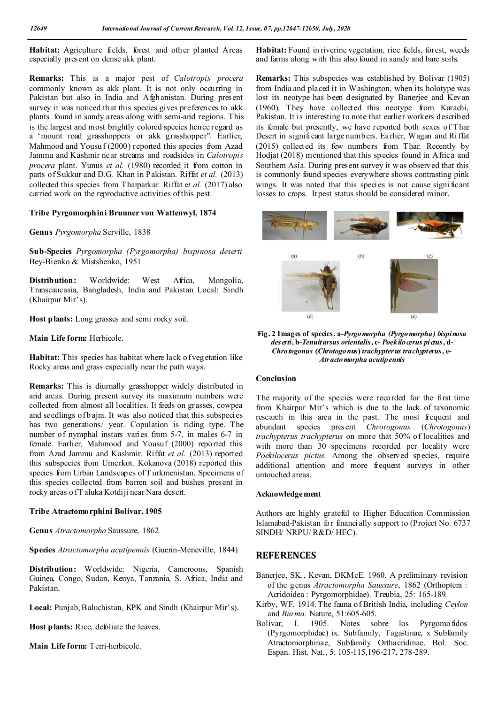**Habitat:** Agriculture fields, forest and other planted Areas especially present on dense akk plant.

**Remarks:** This is a major pest of *Calotropis procera* commonly known as akk plant. It is not only occurring in Pakistan but also in India and Afghanistan. During present survey it was noticed th at this species gives preferences to akk plants found in sandy areas along with semi-arid regions. This is the largest and most brightly colored species hence regard as a 'mount road grasshoppers or akk grasshopper". Earlier, Mahmood and Yousu f (2000) reported this species from Azad Jammu and Kashmir near streams and roadsides in *Calotropis procera* plant. Yunus *et al.* (1980) recorded it from cotton in parts of Sukkur and D.G. Khan in Pakistan. Riffat *et al.* (2013) collected this species from Tharparkar. Riffat e*t al.* (2017) also carried work on the reproductive activities of this pest.

#### **Tribe Pyrgomorphini Brunner von Wattenwyl, 1874**

**Genus** *Pyrgomorpha* Serville, 1838

**Sub-Species** *Pyrgomorpha (Pyrgomorpha) bispinosa deserti* Bey-Bienko & Mistshenko, 1951

Distribution: Worldwide: West Africa, Mongolia, Transcaucasia, Bangladesh, India and Pakistan Local: Sindh (Khairpur Mir's).

**Host plants:** Long grasses and semi rocky soil.

**Main Life form:** Herbicole.

**Habitat:** This species has habitat where lack of vegetation like Rocky areas and grass especially near the path ways.

**Remarks:** This is diurnally grasshopper widely distributed in arid areas. During present survey its maximum numbers were collected from almost all localities. It feeds on grasses, cowpea and seedlings of b ajra. It was also noticed that this subspecies has two generations/ year. Copulation is riding type. The number of nymphal instars varies from 5-7, in males 6-7 in female. Earlier, Mahmood and Yousuf (2000) reported this from Azad Jammu and Kashmir. Riffat *et al.* (2013) reported this subspecies from Umerkot. Kokanova (2018) reported this species from Urban Landscapes of T urkmenistan. Specimens of this species collected from barren soil and bushes present in rocky areas o fT aluka Kotdiji near Nara desert.

#### **Tribe Atractomorphini Bolivar, 1905**

**Genus** *Atractomorpha* Saussure, 1862

**Species** *Atractomorpha acutipennis* (Guerin-Meneville, 1844)

Distribution: Worldwide: Nigeria, Cameroons, Spanish Guinea, Congo, Sudan, Kenya, Tanzania, S. Africa, India and Pakistan.

**Local:** Punjab, Baluchistan, KPK and Sindh (Khairpur Mir's).

**Host plants:** Rice, defoliate the leaves.

**Main Life form:** Terri-herbicole.

**Habitat:** Found in riverine vegetation, rice fields, forest, weeds and farms along with this also found in sandy and bare soils.

**Remarks:** This subspecies was established by Bolivar (1905) from India and placed it in Washington, when its holotype was lost its neotype has been designated by Banerjee and Kevan (1960). They have collected this neotype from Karachi, Pakistan. It is interesting to note that earlier workers described its female but presently, we have reported both sexes of Thar Desert in significant large numbers. Earlier, Wagan and Ri ffat (2015) collected its few numbers from Thar. Recently by Hodjat (2018) mentioned that this species found in Africa and Southern Asia. During present survey it w as observed that this is commonly found species everywhere shows contrasting pink wings. It was noted that this species is not cause signi ficant losses to crops. It pest status should be considered minor.





## **Conclusion**

The majority of the species were recorded for the first time from Khairpur Mir's which is due to the lack of taxonomic research in this area in the past. The most frequent and abundant species present *Chrotogonus* (*Chrotogonus*) *trachypterus trachypterus* on more that 50% of localities and with more than 30 specimens recorded per locality were *Poekilocerus pictus.* Among the observed species, require additional attention and more frequent surveys in other untouched areas.

#### **Acknowledgement**

Authors are highly grateful to Higher Education Commission Islamabad-Pakistan for financially support to (Project No. 6737 SINDH/ NRPU/ R&D/ HEC).

#### **REFERENCES**

- Banerjee, SK., Kevan, DKMcE. 1960. A preliminary revision of the genus *Atractomorpha Saussure*, 1862 (Orthoptera : Acridoidea : Pyrgomorphidae). Treubia, 25: 165-189.
- Kirby, WF. 1914.The fauna ofBritish India, including *Ceylon* and *Burma.* Nature, 51:605-605.
- Bolivar, I. 1905. Notes sobre los Pyrgomo fidos (Pyrgomorphidae) ix. Subfamily, Tagastinae, x Subfamily Atractomorphinae, Subfamily Orthacridinae. Bol. Soc. Espan. Hist. Nat., 5: 105-115,196-217, 278-289.